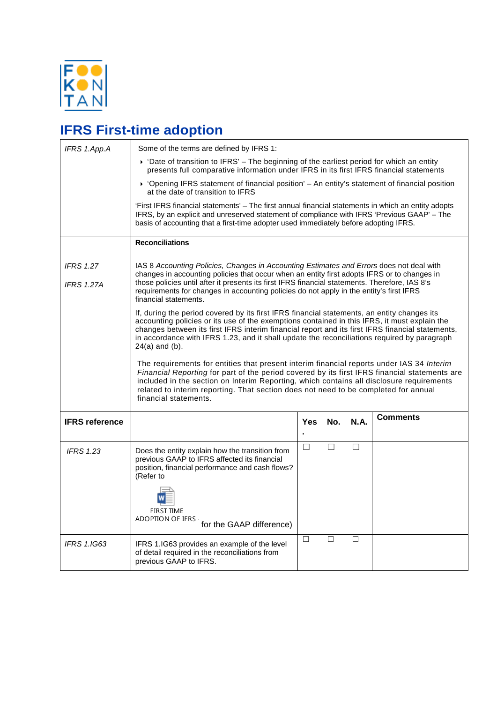

## **IFRS First-time adoption**

| IFRS 1.App.A                          | Some of the terms are defined by IFRS 1:                                                                                                                                                                                                                                                                                                                                                                                                                                                                                                                                                                                                                                                                                                                                                                                                                                                                                                                                                                                                                                                                                                                                                                                                         |            |        |             |                 |  |  |
|---------------------------------------|--------------------------------------------------------------------------------------------------------------------------------------------------------------------------------------------------------------------------------------------------------------------------------------------------------------------------------------------------------------------------------------------------------------------------------------------------------------------------------------------------------------------------------------------------------------------------------------------------------------------------------------------------------------------------------------------------------------------------------------------------------------------------------------------------------------------------------------------------------------------------------------------------------------------------------------------------------------------------------------------------------------------------------------------------------------------------------------------------------------------------------------------------------------------------------------------------------------------------------------------------|------------|--------|-------------|-----------------|--|--|
|                                       | $\triangleright$ 'Date of transition to IFRS' – The beginning of the earliest period for which an entity<br>presents full comparative information under IFRS in its first IFRS financial statements                                                                                                                                                                                                                                                                                                                                                                                                                                                                                                                                                                                                                                                                                                                                                                                                                                                                                                                                                                                                                                              |            |        |             |                 |  |  |
|                                       | ▶ 'Opening IFRS statement of financial position' - An entity's statement of financial position<br>at the date of transition to IFRS                                                                                                                                                                                                                                                                                                                                                                                                                                                                                                                                                                                                                                                                                                                                                                                                                                                                                                                                                                                                                                                                                                              |            |        |             |                 |  |  |
|                                       | First IFRS financial statements' – The first annual financial statements in which an entity adopts<br>IFRS, by an explicit and unreserved statement of compliance with IFRS 'Previous GAAP' - The<br>basis of accounting that a first-time adopter used immediately before adopting IFRS.                                                                                                                                                                                                                                                                                                                                                                                                                                                                                                                                                                                                                                                                                                                                                                                                                                                                                                                                                        |            |        |             |                 |  |  |
|                                       | <b>Reconciliations</b>                                                                                                                                                                                                                                                                                                                                                                                                                                                                                                                                                                                                                                                                                                                                                                                                                                                                                                                                                                                                                                                                                                                                                                                                                           |            |        |             |                 |  |  |
| <b>IFRS 1.27</b><br><b>IFRS 1.27A</b> | IAS 8 Accounting Policies, Changes in Accounting Estimates and Errors does not deal with<br>changes in accounting policies that occur when an entity first adopts IFRS or to changes in<br>those policies until after it presents its first IFRS financial statements. Therefore, IAS 8's<br>requirements for changes in accounting policies do not apply in the entity's first IFRS<br>financial statements.<br>If, during the period covered by its first IFRS financial statements, an entity changes its<br>accounting policies or its use of the exemptions contained in this IFRS, it must explain the<br>changes between its first IFRS interim financial report and its first IFRS financial statements,<br>in accordance with IFRS 1.23, and it shall update the reconciliations required by paragraph<br>$24(a)$ and $(b)$ .<br>The requirements for entities that present interim financial reports under IAS 34 Interim<br>Financial Reporting for part of the period covered by its first IFRS financial statements are<br>included in the section on Interim Reporting, which contains all disclosure requirements<br>related to interim reporting. That section does not need to be completed for annual<br>financial statements. |            |        |             |                 |  |  |
| <b>IFRS reference</b>                 |                                                                                                                                                                                                                                                                                                                                                                                                                                                                                                                                                                                                                                                                                                                                                                                                                                                                                                                                                                                                                                                                                                                                                                                                                                                  | <b>Yes</b> | No.    | <b>N.A.</b> | <b>Comments</b> |  |  |
| <b>IFRS 1.23</b>                      | Does the entity explain how the transition from<br>previous GAAP to IFRS affected its financial<br>position, financial performance and cash flows?<br>(Refer to<br><b>FIRST TIME</b><br>ADOPTION OF IFRS<br>for the GAAP difference)                                                                                                                                                                                                                                                                                                                                                                                                                                                                                                                                                                                                                                                                                                                                                                                                                                                                                                                                                                                                             | $\Box$     | П      | $\Box$      |                 |  |  |
| <b>IFRS 1.IG63</b>                    | IFRS 1.IG63 provides an example of the level<br>of detail required in the reconciliations from<br>previous GAAP to IFRS.                                                                                                                                                                                                                                                                                                                                                                                                                                                                                                                                                                                                                                                                                                                                                                                                                                                                                                                                                                                                                                                                                                                         | $\Box$     | $\Box$ | □           |                 |  |  |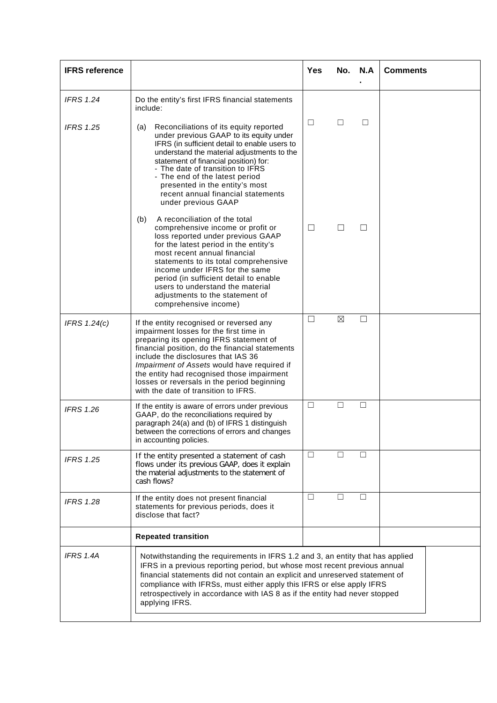| <b>IFRS</b> reference |                                                                                                                                                                                                                                                                                                                                                                                                                        | <b>Yes</b> |             | No. N.A | <b>Comments</b> |
|-----------------------|------------------------------------------------------------------------------------------------------------------------------------------------------------------------------------------------------------------------------------------------------------------------------------------------------------------------------------------------------------------------------------------------------------------------|------------|-------------|---------|-----------------|
| <b>IFRS 1.24</b>      | Do the entity's first IFRS financial statements<br>include:                                                                                                                                                                                                                                                                                                                                                            |            |             |         |                 |
| <b>IFRS 1.25</b>      | Reconciliations of its equity reported<br>(a)<br>under previous GAAP to its equity under<br>IFRS (in sufficient detail to enable users to<br>understand the material adjustments to the<br>statement of financial position) for:<br>- The date of transition to IFRS<br>- The end of the latest period<br>presented in the entity's most<br>recent annual financial statements<br>under previous GAAP                  | □          | □           | □       |                 |
|                       | A reconciliation of the total<br>(b)<br>comprehensive income or profit or<br>loss reported under previous GAAP<br>for the latest period in the entity's<br>most recent annual financial<br>statements to its total comprehensive<br>income under IFRS for the same<br>period (in sufficient detail to enable<br>users to understand the material<br>adjustments to the statement of<br>comprehensive income)           | $\Box$     | ⊔           | Ш       |                 |
| IFRS 1.24(c)          | If the entity recognised or reversed any<br>impairment losses for the first time in<br>preparing its opening IFRS statement of<br>financial position, do the financial statements<br>include the disclosures that IAS 36<br>Impairment of Assets would have required if<br>the entity had recognised those impairment<br>losses or reversals in the period beginning<br>with the date of transition to IFRS.           | $\Box$     | $\boxtimes$ | $\Box$  |                 |
| <b>IFRS 1.26</b>      | If the entity is aware of errors under previous<br>GAAP, do the reconciliations required by<br>paragraph 24(a) and (b) of IFRS 1 distinguish<br>between the corrections of errors and changes<br>in accounting policies.                                                                                                                                                                                               | $\Box$     | $\Box$      | ⊔       |                 |
| <b>IFRS 1.25</b>      | If the entity presented a statement of cash<br>flows under its previous GAAP, does it explain<br>the material adjustments to the statement of<br>cash flows?                                                                                                                                                                                                                                                           | $\Box$     |             |         |                 |
| <b>IFRS 1.28</b>      | If the entity does not present financial<br>statements for previous periods, does it<br>disclose that fact?                                                                                                                                                                                                                                                                                                            | $\Box$     | □           | □       |                 |
|                       | <b>Repeated transition</b>                                                                                                                                                                                                                                                                                                                                                                                             |            |             |         |                 |
| IFRS 1.4A             | Notwithstanding the requirements in IFRS 1.2 and 3, an entity that has applied<br>IFRS in a previous reporting period, but whose most recent previous annual<br>financial statements did not contain an explicit and unreserved statement of<br>compliance with IFRSs, must either apply this IFRS or else apply IFRS<br>retrospectively in accordance with IAS 8 as if the entity had never stopped<br>applying IFRS. |            |             |         |                 |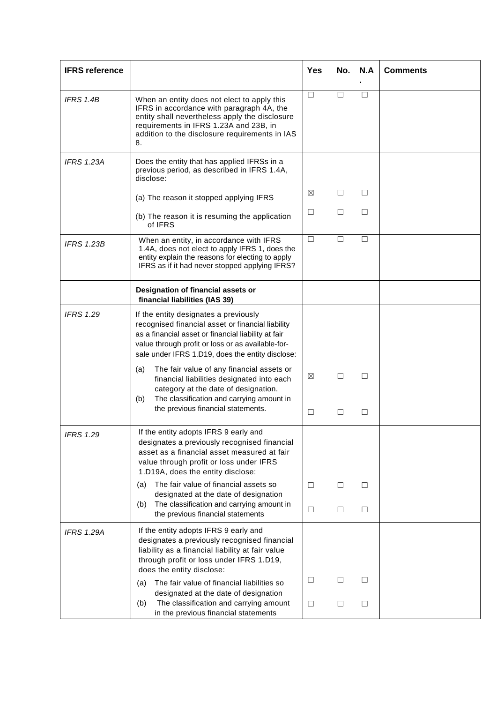| <b>IFRS</b> reference |                                                                                                                                                                                                                                                            | <b>Yes</b>  | No.    | N.A    | <b>Comments</b> |
|-----------------------|------------------------------------------------------------------------------------------------------------------------------------------------------------------------------------------------------------------------------------------------------------|-------------|--------|--------|-----------------|
| IFRS 1.4B             | When an entity does not elect to apply this<br>IFRS in accordance with paragraph 4A, the<br>entity shall nevertheless apply the disclosure<br>requirements in IFRS 1.23A and 23B, in<br>addition to the disclosure requirements in IAS<br>8.               | $\Box$      | □      | □      |                 |
| <b>IFRS 1.23A</b>     | Does the entity that has applied IFRSs in a<br>previous period, as described in IFRS 1.4A,<br>disclose:                                                                                                                                                    |             |        |        |                 |
|                       | (a) The reason it stopped applying IFRS                                                                                                                                                                                                                    | $\boxtimes$ | □      | □      |                 |
|                       | (b) The reason it is resuming the application<br>of IFRS                                                                                                                                                                                                   | $\Box$      | □      | □      |                 |
| <b>IFRS 1.23B</b>     | When an entity, in accordance with IFRS<br>1.4A, does not elect to apply IFRS 1, does the<br>entity explain the reasons for electing to apply<br>IFRS as if it had never stopped applying IFRS?                                                            | □           | П      | □      |                 |
|                       | Designation of financial assets or<br>financial liabilities (IAS 39)                                                                                                                                                                                       |             |        |        |                 |
| <b>IFRS 1.29</b>      | If the entity designates a previously<br>recognised financial asset or financial liability<br>as a financial asset or financial liability at fair<br>value through profit or loss or as available-for-<br>sale under IFRS 1.D19, does the entity disclose: |             |        |        |                 |
|                       | The fair value of any financial assets or<br>(a)<br>financial liabilities designated into each<br>category at the date of designation.<br>The classification and carrying amount in<br>(b)<br>the previous financial statements.                           | ⊠<br>□      | □<br>□ | □<br>□ |                 |
|                       |                                                                                                                                                                                                                                                            |             |        |        |                 |
| <b>IFRS 1.29</b>      | If the entity adopts IFRS 9 early and<br>designates a previously recognised financial<br>asset as a financial asset measured at fair<br>value through profit or loss under IFRS<br>1.D19A, does the entity disclose:                                       |             |        |        |                 |
|                       | The fair value of financial assets so<br>(a)<br>designated at the date of designation                                                                                                                                                                      | $\Box$      | Ш      | ⊔      |                 |
|                       | The classification and carrying amount in<br>(b)<br>the previous financial statements                                                                                                                                                                      | □           | $\Box$ | □      |                 |
| <b>IFRS 1.29A</b>     | If the entity adopts IFRS 9 early and<br>designates a previously recognised financial<br>liability as a financial liability at fair value<br>through profit or loss under IFRS 1.D19,<br>does the entity disclose:                                         |             |        |        |                 |
|                       | The fair value of financial liabilities so<br>(a)<br>designated at the date of designation                                                                                                                                                                 | $\Box$      | Ш      | ш      |                 |
|                       | The classification and carrying amount<br>(b)<br>in the previous financial statements                                                                                                                                                                      | $\Box$      | □      | $\Box$ |                 |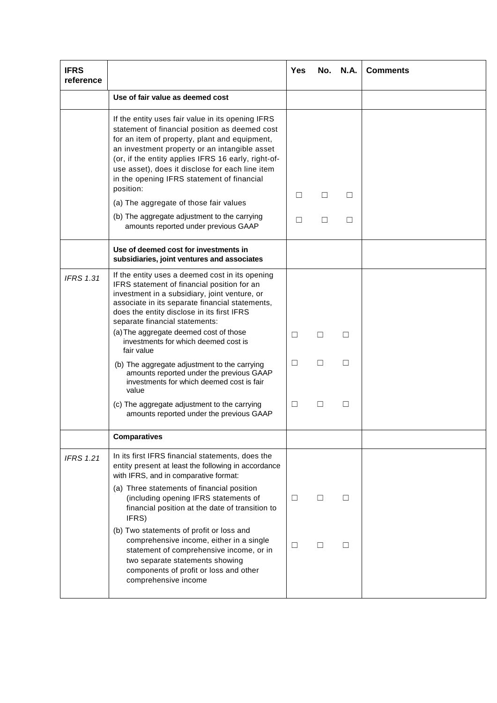| <b>IFRS</b><br>reference |                                                                                                                                                                                                                                                                                                                                                                                    | Yes    |         | <b>No. N.A.</b> | <b>Comments</b> |
|--------------------------|------------------------------------------------------------------------------------------------------------------------------------------------------------------------------------------------------------------------------------------------------------------------------------------------------------------------------------------------------------------------------------|--------|---------|-----------------|-----------------|
|                          | Use of fair value as deemed cost                                                                                                                                                                                                                                                                                                                                                   |        |         |                 |                 |
|                          | If the entity uses fair value in its opening IFRS<br>statement of financial position as deemed cost<br>for an item of property, plant and equipment,<br>an investment property or an intangible asset<br>(or, if the entity applies IFRS 16 early, right-of-<br>use asset), does it disclose for each line item<br>in the opening IFRS statement of financial<br>position:         |        |         |                 |                 |
|                          | (a) The aggregate of those fair values                                                                                                                                                                                                                                                                                                                                             | □      | □       | □               |                 |
|                          | (b) The aggregate adjustment to the carrying<br>amounts reported under previous GAAP                                                                                                                                                                                                                                                                                               | $\Box$ | П       | □               |                 |
|                          | Use of deemed cost for investments in<br>subsidiaries, joint ventures and associates                                                                                                                                                                                                                                                                                               |        |         |                 |                 |
| <b>IFRS 1.31</b>         | If the entity uses a deemed cost in its opening<br>IFRS statement of financial position for an<br>investment in a subsidiary, joint venture, or<br>associate in its separate financial statements,<br>does the entity disclose in its first IFRS<br>separate financial statements:<br>(a) The aggregate deemed cost of those<br>investments for which deemed cost is<br>fair value | □      | $\perp$ | $\perp$         |                 |
|                          | (b) The aggregate adjustment to the carrying<br>amounts reported under the previous GAAP<br>investments for which deemed cost is fair<br>value                                                                                                                                                                                                                                     | □      | □       | П               |                 |
|                          | (c) The aggregate adjustment to the carrying<br>amounts reported under the previous GAAP                                                                                                                                                                                                                                                                                           | □      | П       | □               |                 |
|                          | <b>Comparatives</b>                                                                                                                                                                                                                                                                                                                                                                |        |         |                 |                 |
| <b>IFRS 1.21</b>         | In its first IFRS financial statements, does the<br>entity present at least the following in accordance<br>with IFRS, and in comparative format:                                                                                                                                                                                                                                   |        |         |                 |                 |
|                          | (a) Three statements of financial position<br>(including opening IFRS statements of<br>financial position at the date of transition to<br>IFRS)                                                                                                                                                                                                                                    | □      | П       | П               |                 |
|                          | (b) Two statements of profit or loss and<br>comprehensive income, either in a single<br>statement of comprehensive income, or in<br>two separate statements showing<br>components of profit or loss and other<br>comprehensive income                                                                                                                                              | ⊔      | ш       | ш               |                 |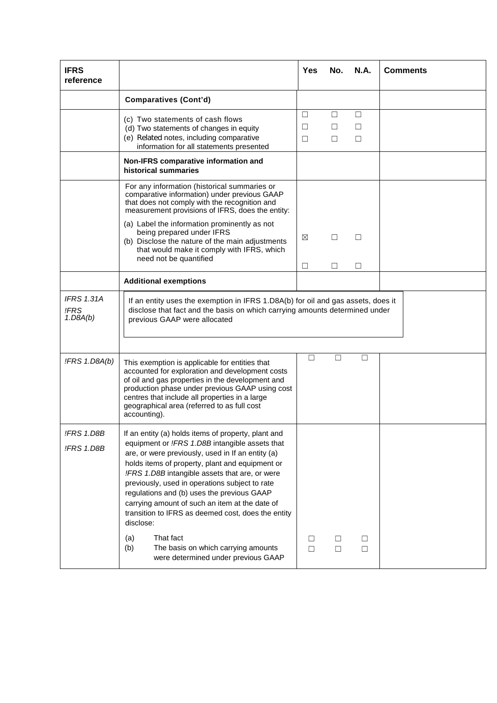| <b>IFRS</b><br>reference              |                                                                                                                                                                                                                                                                                                                                                                                                                                                                                      | <b>Yes</b>            | No.               | <b>N.A.</b> | <b>Comments</b> |
|---------------------------------------|--------------------------------------------------------------------------------------------------------------------------------------------------------------------------------------------------------------------------------------------------------------------------------------------------------------------------------------------------------------------------------------------------------------------------------------------------------------------------------------|-----------------------|-------------------|-------------|-----------------|
|                                       | <b>Comparatives (Cont'd)</b>                                                                                                                                                                                                                                                                                                                                                                                                                                                         |                       |                   |             |                 |
|                                       | (c) Two statements of cash flows<br>(d) Two statements of changes in equity<br>(e) Related notes, including comparative<br>information for all statements presented                                                                                                                                                                                                                                                                                                                  | □<br>$\Box$<br>$\Box$ | □<br>$\perp$<br>□ | □<br>□<br>□ |                 |
|                                       | Non-IFRS comparative information and<br>historical summaries                                                                                                                                                                                                                                                                                                                                                                                                                         |                       |                   |             |                 |
|                                       | For any information (historical summaries or<br>comparative information) under previous GAAP<br>that does not comply with the recognition and<br>measurement provisions of IFRS, does the entity:                                                                                                                                                                                                                                                                                    |                       |                   |             |                 |
|                                       | (a) Label the information prominently as not<br>being prepared under IFRS<br>(b) Disclose the nature of the main adjustments<br>that would make it comply with IFRS, which<br>need not be quantified                                                                                                                                                                                                                                                                                 | ⊠                     | ш                 | $\Box$      |                 |
|                                       | <b>Additional exemptions</b>                                                                                                                                                                                                                                                                                                                                                                                                                                                         | □                     | □                 | $\Box$      |                 |
| <b>IFRS 1.31A</b><br>!FRS<br>1.DBA(b) | If an entity uses the exemption in IFRS 1.D8A(b) for oil and gas assets, does it<br>disclose that fact and the basis on which carrying amounts determined under<br>previous GAAP were allocated                                                                                                                                                                                                                                                                                      |                       |                   |             |                 |
| !FRS 1.D8A(b)                         | This exemption is applicable for entities that<br>accounted for exploration and development costs<br>of oil and gas properties in the development and<br>production phase under previous GAAP using cost<br>centres that include all properties in a large<br>geographical area (referred to as full cost<br>accounting).                                                                                                                                                            | □                     | □                 | □           |                 |
| !FRS 1.D8B<br>!FRS 1.D8B              | If an entity (a) holds items of property, plant and<br>equipment or !FRS 1.D8B intangible assets that<br>are, or were previously, used in If an entity (a)<br>holds items of property, plant and equipment or<br>!FRS 1.D8B intangible assets that are, or were<br>previously, used in operations subject to rate<br>regulations and (b) uses the previous GAAP<br>carrying amount of such an item at the date of<br>transition to IFRS as deemed cost, does the entity<br>disclose: |                       |                   |             |                 |
|                                       | That fact<br>(a)<br>(b)<br>The basis on which carrying amounts<br>were determined under previous GAAP                                                                                                                                                                                                                                                                                                                                                                                | □<br>$\Box$           | ш<br>$\Box$       | □<br>$\Box$ |                 |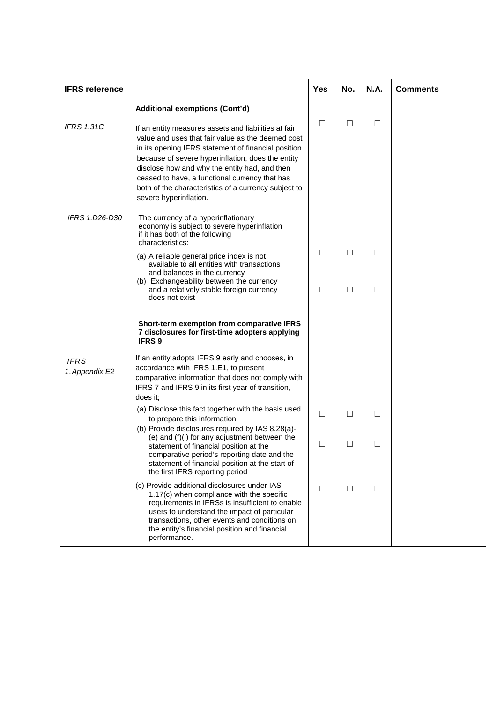| <b>IFRS reference</b>         |                                                                                                                                                                                                                                                                                                                                                                                                            | Yes    | No.    | <b>N.A.</b> | <b>Comments</b> |
|-------------------------------|------------------------------------------------------------------------------------------------------------------------------------------------------------------------------------------------------------------------------------------------------------------------------------------------------------------------------------------------------------------------------------------------------------|--------|--------|-------------|-----------------|
|                               | <b>Additional exemptions (Cont'd)</b>                                                                                                                                                                                                                                                                                                                                                                      |        |        |             |                 |
| <b>IFRS 1.31C</b>             | If an entity measures assets and liabilities at fair<br>value and uses that fair value as the deemed cost<br>in its opening IFRS statement of financial position<br>because of severe hyperinflation, does the entity<br>disclose how and why the entity had, and then<br>ceased to have, a functional currency that has<br>both of the characteristics of a currency subject to<br>severe hyperinflation. | $\Box$ | $\Box$ | $\Box$      |                 |
| !FRS 1.D26-D30                | The currency of a hyperinflationary<br>economy is subject to severe hyperinflation<br>if it has both of the following<br>characteristics:                                                                                                                                                                                                                                                                  |        |        |             |                 |
|                               | (a) A reliable general price index is not<br>available to all entities with transactions<br>and balances in the currency                                                                                                                                                                                                                                                                                   | □      | ш      | □           |                 |
|                               | (b) Exchangeability between the currency<br>and a relatively stable foreign currency<br>does not exist                                                                                                                                                                                                                                                                                                     | $\Box$ | $\Box$ | □           |                 |
|                               | Short-term exemption from comparative IFRS<br>7 disclosures for first-time adopters applying<br><b>IFRS 9</b>                                                                                                                                                                                                                                                                                              |        |        |             |                 |
| <b>IFRS</b><br>1. Appendix E2 | If an entity adopts IFRS 9 early and chooses, in<br>accordance with IFRS 1.E1, to present<br>comparative information that does not comply with<br>IFRS 7 and IFRS 9 in its first year of transition,<br>does it;                                                                                                                                                                                           |        |        |             |                 |
|                               | (a) Disclose this fact together with the basis used<br>to prepare this information<br>(b) Provide disclosures required by IAS 8.28(a)-                                                                                                                                                                                                                                                                     | $\Box$ | $\Box$ | □           |                 |
|                               | (e) and (f)(i) for any adjustment between the<br>statement of financial position at the<br>comparative period's reporting date and the<br>statement of financial position at the start of<br>the first IFRS reporting period                                                                                                                                                                               | □      | $\Box$ | $\Box$      |                 |
|                               | (c) Provide additional disclosures under IAS<br>1.17(c) when compliance with the specific<br>requirements in IFRSs is insufficient to enable<br>users to understand the impact of particular<br>transactions, other events and conditions on<br>the entity's financial position and financial<br>performance.                                                                                              | □      | $\Box$ | □           |                 |